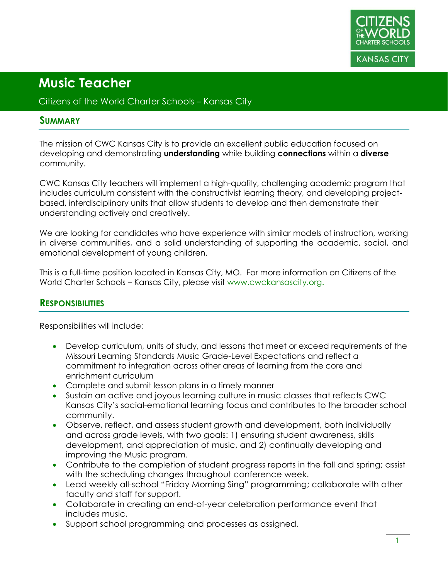

#### Citizens of the World Charter Schools – Kansas City

#### **SUMMARY**

The mission of CWC Kansas City is to provide an excellent public education focused on developing and demonstrating **understanding** while building **connections** within a **diverse** community.

CWC Kansas City teachers will implement a high-quality, challenging academic program that includes curriculum consistent with the constructivist learning theory, and developing projectbased, interdisciplinary units that allow students to develop and then demonstrate their understanding actively and creatively.

We are looking for candidates who have experience with similar models of instruction, working in diverse communities, and a solid understanding of supporting the academic, social, and emotional development of young children.

This is a full-time position located in Kansas City, MO. For more information on Citizens of the World Charter Schools – Kansas City, please visit www.cwckansascity.org.

### **RESPONSIBILITIES**

Responsibilities will include:

- Develop curriculum, units of study, and lessons that meet or exceed requirements of the Missouri Learning Standards Music Grade-Level Expectations and reflect a commitment to integration across other areas of learning from the core and enrichment curriculum
- Complete and submit lesson plans in a timely manner
- Sustain an active and joyous learning culture in music classes that reflects CWC Kansas City's social-emotional learning focus and contributes to the broader school community.
- Observe, reflect, and assess student growth and development, both individually and across grade levels, with two goals: 1) ensuring student awareness, skills development, and appreciation of music, and 2) continually developing and improving the Music program.
- Contribute to the completion of student progress reports in the fall and spring; assist with the scheduling changes throughout conference week.
- Lead weekly all-school "Friday Morning Sing" programming; collaborate with other faculty and staff for support.
- Collaborate in creating an end-of-year celebration performance event that includes music.
- Support school programming and processes as assigned.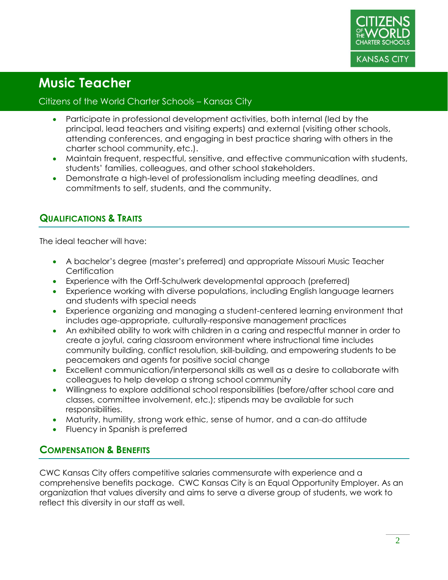

#### Citizens of the World Charter Schools – Kansas City

- Participate in professional development activities, both internal (led by the principal, lead teachers and visiting experts) and external (visiting other schools, attending conferences, and engaging in best practice sharing with others in the charter school community,etc.).
- Maintain frequent, respectful, sensitive, and effective communication with students, students' families, colleagues, and other school stakeholders.
- Demonstrate a high-level of professionalism including meeting deadlines, and commitments to self, students, and the community.

### **QUALIFICATIONS & TRAITS**

The ideal teacher will have:

- A bachelor's degree (master's preferred) and appropriate Missouri Music Teacher **Certification**
- Experience with the Orff-Schulwerk developmental approach (preferred)
- Experience working with diverse populations, including English language learners and students with special needs
- Experience organizing and managing a student-centered learning environment that includes age-appropriate, culturally-responsive management practices
- An exhibited ability to work with children in a caring and respectful manner in order to create a joyful, caring classroom environment where instructional time includes community building, conflict resolution, skill-building, and empowering students to be peacemakers and agents for positive social change
- Excellent communication/interpersonal skills as well as a desire to collaborate with colleagues to help develop a strong school community
- Willingness to explore additional school responsibilities (before/after school care and classes, committee involvement, etc.); stipends may be available for such responsibilities.
- Maturity, humility, strong work ethic, sense of humor, and a can-do attitude
- Fluency in Spanish is preferred

### **COMPENSATION & BENEFITS**

CWC Kansas City offers competitive salaries commensurate with experience and a comprehensive benefits package. CWC Kansas City is an Equal Opportunity Employer. As an organization that values diversity and aims to serve a diverse group of students, we work to reflect this diversity in our staff as well.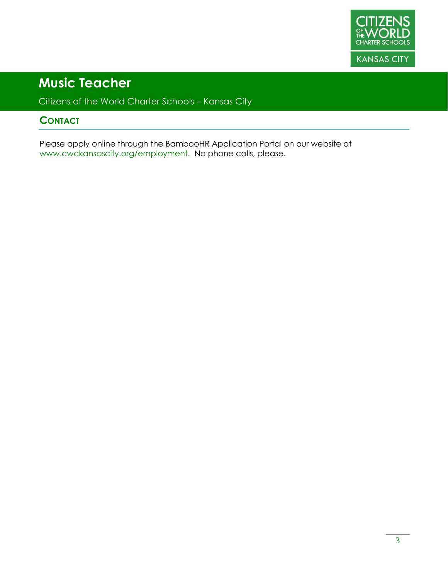

Citizens of the World Charter Schools – Kansas City

### **CONTACT**

Please apply online through the BambooHR Application Portal on our website at www.cwckansascity.org/employment. No phone calls, please.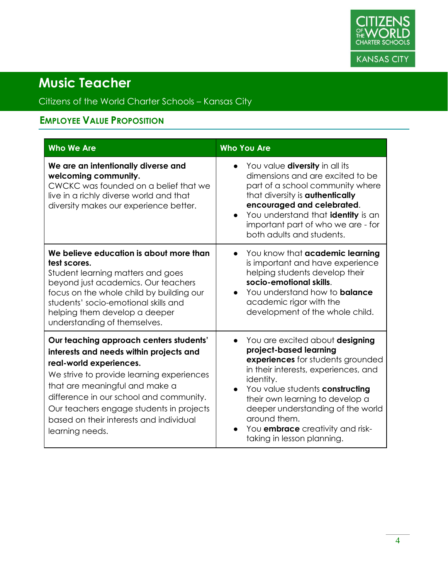

### Citizens of the World Charter Schools – Kansas City

### **EMPLOYEE VALUE PROPOSITION**

| <b>Who We Are</b>                                                                                                                                                                                                                                                                                                                                 | <b>Who You Are</b>                                                                                                                                                                                                                                                                                                                                                                             |
|---------------------------------------------------------------------------------------------------------------------------------------------------------------------------------------------------------------------------------------------------------------------------------------------------------------------------------------------------|------------------------------------------------------------------------------------------------------------------------------------------------------------------------------------------------------------------------------------------------------------------------------------------------------------------------------------------------------------------------------------------------|
| We are an intentionally diverse and<br>welcoming community.<br>CWCKC was founded on a belief that we<br>live in a richly diverse world and that<br>diversity makes our experience better.                                                                                                                                                         | You value <b>diversity</b> in all its<br>dimensions and are excited to be<br>part of a school community where<br>that diversity is <b>authentically</b><br>encouraged and celebrated.<br>You understand that <b>identity</b> is an<br>important part of who we are - for<br>both adults and students.                                                                                          |
| We believe education is about more than<br>test scores.<br>Student learning matters and goes<br>beyond just academics. Our teachers<br>focus on the whole child by building our<br>students' socio-emotional skills and<br>helping them develop a deeper<br>understanding of themselves.                                                          | You know that academic learning<br>is important and have experience<br>helping students develop their<br>socio-emotional skills.<br>You understand how to <b>balance</b><br>$\bullet$<br>academic rigor with the<br>development of the whole child.                                                                                                                                            |
| Our teaching approach centers students'<br>interests and needs within projects and<br>real-world experiences.<br>We strive to provide learning experiences<br>that are meaningful and make a<br>difference in our school and community.<br>Our teachers engage students in projects<br>based on their interests and individual<br>learning needs. | You are excited about designing<br>$\bullet$<br>project-based learning<br>experiences for students grounded<br>in their interests, experiences, and<br>identity.<br>You value students constructing<br>$\bullet$<br>their own learning to develop a<br>deeper understanding of the world<br>around them.<br>You <b>embrace</b> creativity and risk-<br>$\bullet$<br>taking in lesson planning. |